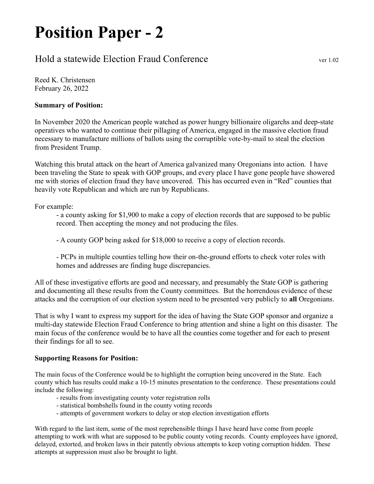## Position Paper - 2

## Hold a statewide Election Fraud Conference ver 1.02

Reed K. Christensen February 26, 2022

## Summary of Position:

In November 2020 the American people watched as power hungry billionaire oligarchs and deep-state operatives who wanted to continue their pillaging of America, engaged in the massive election fraud necessary to manufacture millions of ballots using the corruptible vote-by-mail to steal the election from President Trump.

Watching this brutal attack on the heart of America galvanized many Oregonians into action. I have been traveling the State to speak with GOP groups, and every place I have gone people have showered me with stories of election fraud they have uncovered. This has occurred even in "Red" counties that heavily vote Republican and which are run by Republicans.

For example:

- a county asking for \$1,900 to make a copy of election records that are supposed to be public record. Then accepting the money and not producing the files.

- A county GOP being asked for \$18,000 to receive a copy of election records.

- PCPs in multiple counties telling how their on-the-ground efforts to check voter roles with homes and addresses are finding huge discrepancies.

All of these investigative efforts are good and necessary, and presumably the State GOP is gathering and documenting all these results from the County committees. But the horrendous evidence of these attacks and the corruption of our election system need to be presented very publicly to all Oregonians.

That is why I want to express my support for the idea of having the State GOP sponsor and organize a multi-day statewide Election Fraud Conference to bring attention and shine a light on this disaster. The main focus of the conference would be to have all the counties come together and for each to present their findings for all to see.

## Supporting Reasons for Position:

The main focus of the Conference would be to highlight the corruption being uncovered in the State. Each county which has results could make a 10-15 minutes presentation to the conference. These presentations could include the following:

- results from investigating county voter registration rolls
- statistical bombshells found in the county voting records
- attempts of government workers to delay or stop election investigation efforts

With regard to the last item, some of the most reprehensible things I have heard have come from people attempting to work with what are supposed to be public county voting records. County employees have ignored, delayed, extorted, and broken laws in their patently obvious attempts to keep voting corruption hidden. These attempts at suppression must also be brought to light.